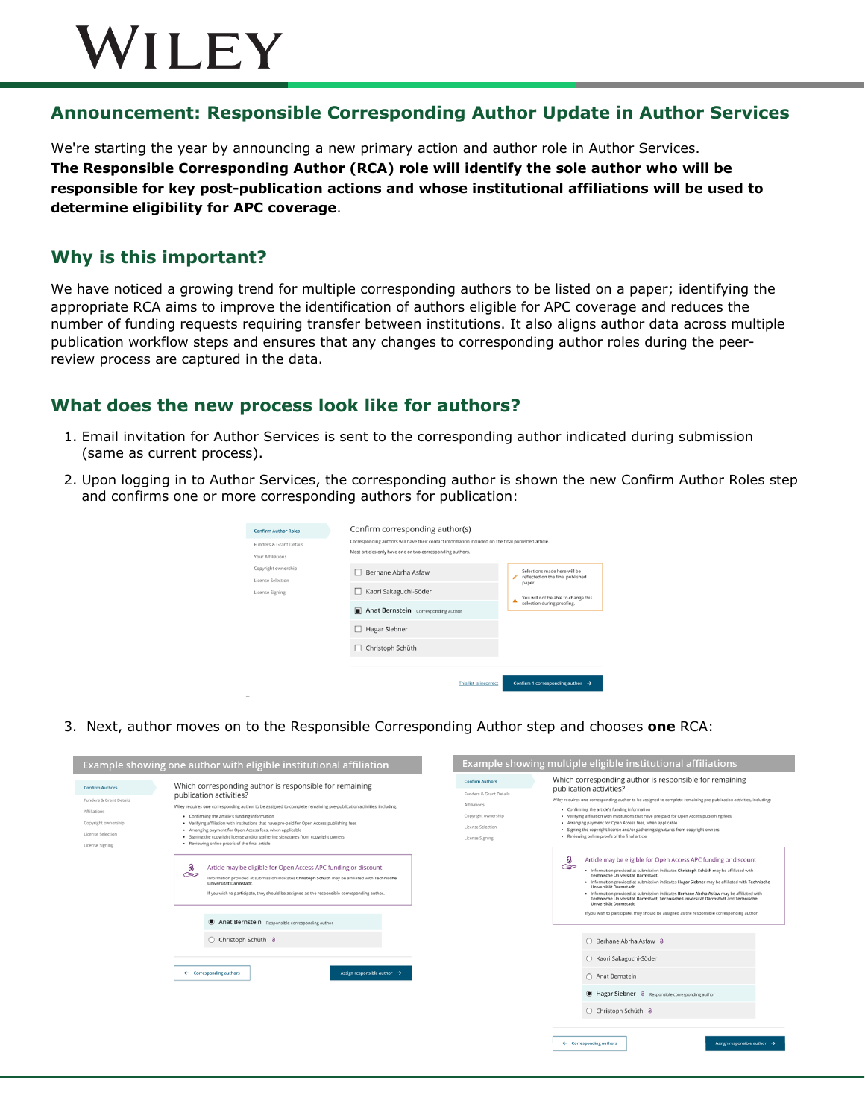# WILEY

### **Announcement: Responsible Corresponding Author Update in Author Services**

We're starting the year by announcing a new primary action and author role in Author Services. **The Responsible Corresponding Author (RCA) role will identify the sole author who will be responsible for key post-publication actions and whose institutional affiliations will be used to determine eligibility for APC coverage**.

### **Why is this important?**

We have noticed a growing trend for multiple corresponding authors to be listed on a paper; identifying the appropriate RCA aims to improve the identification of authors eligible for APC coverage and reduces the number of funding requests requiring transfer between institutions. It also aligns author data across multiple publication workflow steps and ensures that any changes to corresponding author roles during the peerreview process are captured in the data.

#### **What does the new process look like for authors?**

- 1. Email invitation for Author Services is sent to the corresponding author indicated during submission (same as current process).
- 2. Upon logging in to Author Services, the corresponding author is shown the new Confirm Author Roles step and confirms one or more corresponding authors for publication:

| <b>Confirm Author Roles</b>              | Confirm corresponding author(s)                                                                                                                                 |                                                                                       |  |  |  |  |
|------------------------------------------|-----------------------------------------------------------------------------------------------------------------------------------------------------------------|---------------------------------------------------------------------------------------|--|--|--|--|
| Funders & Grant Details                  | Corresponding authors will have their contact information included on the final published article.<br>Most articles only have one or two corresponding authors. |                                                                                       |  |  |  |  |
| Your Affiliations<br>Copyright ownership | Berhane Abrha Asfaw                                                                                                                                             | Selections made here will be                                                          |  |  |  |  |
| License Selection<br>License Signing     | Kaori Sakaguchi-Söder                                                                                                                                           | reflected on the final published<br>paper.                                            |  |  |  |  |
|                                          | Anat Bernstein Corresponding author<br>n                                                                                                                        | You will not be able to change this<br>$\blacktriangle$<br>selection during proofing. |  |  |  |  |
|                                          | Hagar Siebner                                                                                                                                                   |                                                                                       |  |  |  |  |
|                                          | Christoph Schüth                                                                                                                                                |                                                                                       |  |  |  |  |
|                                          |                                                                                                                                                                 |                                                                                       |  |  |  |  |
|                                          | This list is incorrect                                                                                                                                          | Confirm 1 corresponding author $\rightarrow$                                          |  |  |  |  |

3. Next, author moves on to the Responsible Corresponding Author step and chooses **one** RCA: